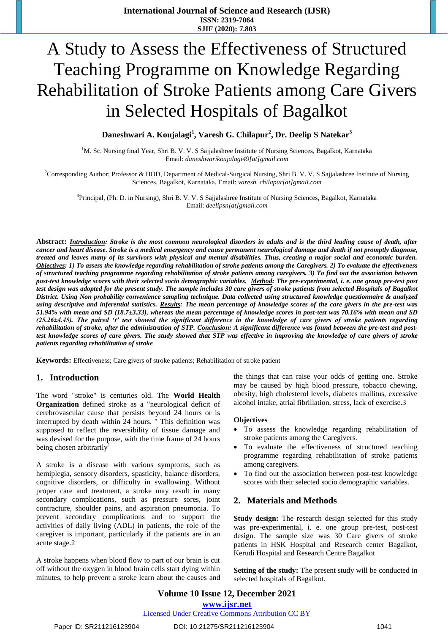# A Study to Assess the Effectiveness of Structured Teaching Programme on Knowledge Regarding Rehabilitation of Stroke Patients among Care Givers in Selected Hospitals of Bagalkot

# **Daneshwari A. Koujalagi<sup>1</sup> , Varesh G. Chilapur<sup>2</sup> , Dr. Deelip S Natekar<sup>3</sup>**

<sup>1</sup>M. Sc. Nursing final Year, Shri B. V. V. S Sajjalashree Institute of Nursing Sciences, Bagalkot, Karnataka Email: *[daneshwarikoujalagi49\[at\]gmail.com](mailto:daneshwarikoujalagi49@gmail.com)*

<sup>2</sup>Corresponding Author; Professor & HOD, Department of Medical-Surgical Nursing, Shri B. V. V. S Sajjalashree Institute of Nursing Sciences, Bagalkot, Karnataka. Email: *[varesh. chilapur\[at\]gmail.com](mailto:varesh.chilapur@gmail.com)*

<sup>3</sup>Principal, (Ph. D. in Nursing), Shri B. V. V. S Sajjalashree Institute of Nursing Sciences, Bagalkot, Karnataka Email: *[deelipsn\[at\]gmail.com](mailto:deelipsn@gmail.com)*

**Abstract:** *Introduction: Stroke is the most common neurological disorders in adults and is the third leading cause of death, after cancer and heart disease. Stroke is a medical emergency and cause permanent neurological damage and death if not promptly diagnose, treated and leaves many of its survivors with physical and mental disabilities. Thus, creating a major social and economic burden. Objectives: 1) To assess the knowledge regarding rehabilitation of stroke patients among the Caregivers. 2) To evaluate the effectiveness of structured teaching programme regarding rehabilitation of stroke patients among caregivers. 3) To find out the association between post-test knowledge scores with their selected socio demographic variables. Method: The pre-experimental, i. e. one group pre-test post test design was adopted for the present study. The sample includes 30 care givers of stroke patients from selected Hospitals of Bagalkot District. Using Non probability convenience sampling technique. Data collected using structured knowledge questionnaire & analyzed using descriptive and inferential statistics. Results: The mean percentage of knowledge scores of the care givers in the pre-test was 51.94% with mean and SD (18.7±3.33), whereas the mean percentage of knowledge scores in post-test was 70.16% with mean and SD (25.26±4.45). The paired 't' test showed the significant difference in the knowledge of care givers of stroke patients regarding rehabilitation of stroke, after the administration of STP. Conclusion: A significant difference was found between the pre-test and posttest knowledge scores of care givers. The study showed that STP was effective in improving the knowledge of care givers of stroke patients regarding rehabilitation of stroke*

**Keywords:** Effectiveness; Care givers of stroke patients; Rehabilitation of stroke patient

#### **1. Introduction**

The word "stroke" is centuries old. The **World Health Organization** defined stroke as a "neurological deficit of cerebrovascular cause that persists beyond 24 hours or is interrupted by death within 24 hours. " This definition was supposed to reflect the reversibility of tissue damage and was devised for the purpose, with the time frame of 24 hours being chosen arbitrarily<sup>1</sup>

A stroke is a disease with various symptoms, such as hemiplegia, sensory disorders, spasticity, balance disorders, cognitive disorders, or difficulty in swallowing. Without proper care and treatment, a stroke may result in many secondary complications, such as pressure sores, joint contracture, shoulder pains, and aspiration pneumonia. To prevent secondary complications and to support the activities of daily living (ADL) in patients, the role of the caregiver is important, particularly if the patients are in an acute stage.2

A stroke happens when blood flow to part of our brain is cut off without the oxygen in blood brain cells start dying within minutes, to help prevent a stroke learn about the causes and the things that can raise your odds of getting one. Stroke may be caused by high blood pressure, tobacco chewing, obesity, high cholesterol levels, diabetes mallitus, excessive alcohol intake, atrial fibrillation, stress, lack of exercise.3

#### **Objectives**

- To assess the knowledge regarding rehabilitation of stroke patients among the Caregivers.
- To evaluate the effectiveness of structured teaching programme regarding rehabilitation of stroke patients among caregivers.
- To find out the association between post-test knowledge scores with their selected socio demographic variables.

#### **2. Materials and Methods**

**Study design:** The research design selected for this study was pre-experimental, i. e. one group pre-test, post-test design. The sample size was 30 Care givers of stroke patients in HSK Hospital and Research center Bagalkot, Kerudi Hospital and Research Centre Bagalkot

**Setting of the study:** The present study will be conducted in selected hospitals of Bagalkot.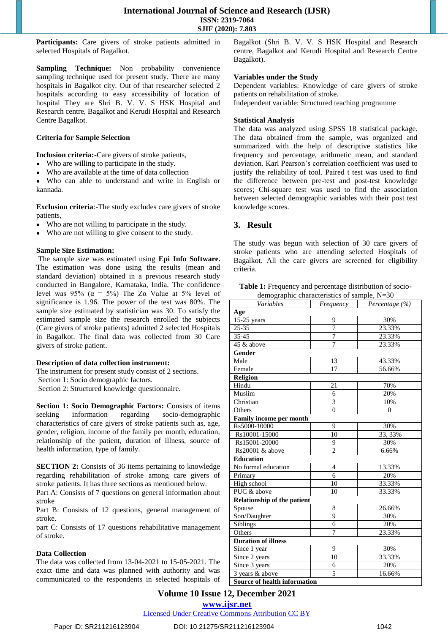Participants: Care givers of stroke patients admitted in selected Hospitals of Bagalkot.

**Sampling Technique:** Non probability convenience sampling technique used for present study. There are many hospitals in Bagalkot city. Out of that researcher selected 2 hospitals according to easy accessibility of location of hospital They are Shri B. V. V. S HSK Hospital and Research centre, Bagalkot and Kerudi Hospital and Research Centre Bagalkot.

#### **Criteria for Sample Selection**

**Inclusion criteria:-**Care givers of stroke patients,

- Who are willing to participate in the study.
- Who are available at the time of data collection

Who can able to understand and write in English or kannada.

**Exclusion criteria**:-The study excludes care givers of stroke patients,

- Who are not willing to participate in the study.
- Who are not willing to give consent to the study.

#### **Sample Size Estimation:**

The sample size was estimated using **Epi Info Software.**  The estimation was done using the results (mean and standard deviation) obtained in a previous research study conducted in Bangalore, Karnataka, India. The confidence level was 95% ( $\alpha = 5\%$ ) The Zα Value at 5% level of significance is 1.96. The power of the test was 80%. The sample size estimated by statistician was 30. To satisfy the estimated sample size the research enrolled the subjects (Care givers of stroke patients) admitted 2 selected Hospitals in Bagalkot. The final data was collected from 30 Care givers of stroke patient.

#### **Description of data collection instrument:**

The instrument for present study consist of 2 sections. Section 1: Socio demographic factors.

Section 2: Structured knowledge questionnaire.

**Section 1: Socio Demographic Factors:** Consists of items seeking information regarding socio-demographic characteristics of care givers of stroke patients such as, age, gender, religion, income of the family per month, education, relationship of the patient, duration of illness, source of health information, type of family.

**SECTION 2:** Consists of 36 items pertaining to knowledge regarding rehabilitation of stroke among care givers of stroke patients. It has three sections as mentioned below.

Part A: Consists of 7 questions on general information about stroke

Part B: Consists of 12 questions, general management of stroke.

part C: Consists of 17 questions rehabilitative management of stroke.

#### **Data Collection**

The data was collected from 13-04-2021 to 15-05-2021. The exact time and data was planned with authority and was communicated to the respondents in selected hospitals of Bagalkot (Shri B. V. V. S HSK Hospital and Research centre, Bagalkot and Kerudi Hospital and Research Centre Bagalkot).

#### **Variables under the Study**

Dependent variables: Knowledge of care givers of stroke patients on rehabilitation of stroke.

Independent variable: Structured teaching programme

#### **Statistical Analysis**

The data was analyzed using SPSS 18 statistical package. The data obtained from the sample, was organized and summarized with the help of descriptive statistics like frequency and percentage, arithmetic mean, and standard deviation. Karl Pearson's correlation coefficient was used to justify the reliability of tool. Paired t test was used to find the difference between pre-test and post-test knowledge scores; Chi-square test was used to find the association between selected demographic variables with their post test knowledge scores.

#### **3. Result**

The study was begun with selection of 30 care givers of stroke patients who are attending selected Hospitals of Bagalkot. All the care givers are screened for eligibility criteria.

**Table 1:** Frequency and percentage distribution of sociodemographic characteristics of sample, N=30

| Variables                           | Frequency      | Percentage (%) |  |  |  |  |  |  |
|-------------------------------------|----------------|----------------|--|--|--|--|--|--|
| Age                                 |                |                |  |  |  |  |  |  |
| $15-25$ years                       | 9              | 30%            |  |  |  |  |  |  |
| 25-35                               | $\overline{7}$ | 23.33%         |  |  |  |  |  |  |
| 35-45                               | 7              | 23.33%         |  |  |  |  |  |  |
| 45 & above                          | $\overline{7}$ | 23.33%         |  |  |  |  |  |  |
| Gender                              |                |                |  |  |  |  |  |  |
| Male                                | 13             | 43.33%         |  |  |  |  |  |  |
| Female                              | 17             | 56.66%         |  |  |  |  |  |  |
| Religion                            |                |                |  |  |  |  |  |  |
| Hindu                               | 21             | 70%            |  |  |  |  |  |  |
| Muslim                              | 6              | 20%            |  |  |  |  |  |  |
| Christian                           | 3              | 10%            |  |  |  |  |  |  |
| Others                              | $\theta$       | $\theta$       |  |  |  |  |  |  |
| Family income per month             |                |                |  |  |  |  |  |  |
| Rs5000-10000                        | 9              | 30%            |  |  |  |  |  |  |
| Rs10001-15000                       | 10             | 33, 33%        |  |  |  |  |  |  |
| Rs15001-20000                       | 9              | 30%            |  |  |  |  |  |  |
| Rs20001 & above                     | $\overline{c}$ | 6.66%          |  |  |  |  |  |  |
| <b>Education</b>                    |                |                |  |  |  |  |  |  |
| No formal education                 | $\overline{4}$ | 13.33%         |  |  |  |  |  |  |
| Primary                             | 6              | 20%            |  |  |  |  |  |  |
| High school                         | 10             | 33.33%         |  |  |  |  |  |  |
| PUC & above                         | 10             | 33.33%         |  |  |  |  |  |  |
| <b>Relationship of the patient</b>  |                |                |  |  |  |  |  |  |
| Spouse                              | 8              | 26.66%         |  |  |  |  |  |  |
| Son/Daughter                        | 9              | 30%            |  |  |  |  |  |  |
| Siblings                            | 6              | 20%            |  |  |  |  |  |  |
| Others                              | $\overline{7}$ | 23.33%         |  |  |  |  |  |  |
| <b>Duration of illness</b>          |                |                |  |  |  |  |  |  |
| Since 1 year                        | 9              | 30%            |  |  |  |  |  |  |
| Since 2 years                       | 10             | 33.33%         |  |  |  |  |  |  |
| Since 3 years                       | 6              | 20%            |  |  |  |  |  |  |
| 3 years & above                     | 5              | 16.66%         |  |  |  |  |  |  |
| <b>Source of health information</b> |                |                |  |  |  |  |  |  |

# **Volume 10 Issue 12, December 2021 www.ijsr.net**

Licensed Under Creative Commons Attribution CC BY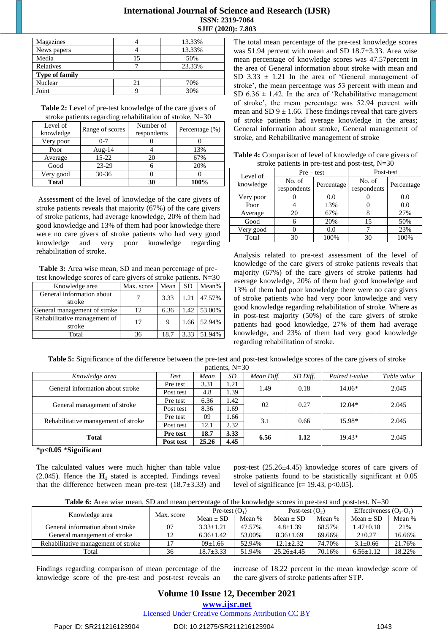# **International Journal of Science and Research (IJSR) ISSN: 2319-7064 SJIF (2020): 7.803**

| Magazines             |    | 13.33% |
|-----------------------|----|--------|
| News papers           |    | 13.33% |
| Media                 | 15 | 50%    |
| <b>Relatives</b>      |    | 23.33% |
| <b>Type of family</b> |    |        |
| Nuclear               | 21 | 70%    |
| Joint                 |    | 30%    |

**Table 2:** Level of pre-test knowledge of the care givers of stroke patients regarding rehabilitation of stroke, N=30

| Level of<br>knowledge | Range of scores | Number of<br>respondents | Percentage $(\%)$ |
|-----------------------|-----------------|--------------------------|-------------------|
| Very poor             | $0 - 7$         |                          |                   |
| Poor                  | Aug- $14$       |                          | 13%               |
| Average               | $15-22$         | 20                       | 67%               |
| Good                  | 23-29           |                          | 20%               |
| Very good             | $30 - 36$       |                          |                   |
| <b>Total</b>          |                 | 30                       | 100%              |

Assessment of the level of knowledge of the care givers of stroke patients reveals that majority (67%) of the care givers of stroke patients, had average knowledge, 20% of them had good knowledge and 13% of them had poor knowledge there were no care givers of stroke patients who had very good knowledge and very poor knowledge regarding rehabilitation of stroke.

**Table 3:** Area wise mean, SD and mean percentage of pretest knowledge scores of care givers of stroke patients. N=30

| Knowledge area                         | Max. score | Mean | <b>SD</b> | Mean%       |
|----------------------------------------|------------|------|-----------|-------------|
| General information about<br>stroke    |            | 3.33 |           | 1.21 47.57% |
| General management of stroke           | 12         | 6.36 | 1.42      | 53.00%      |
|                                        |            |      |           |             |
| Rehabilitative management of<br>stroke | 17         | 9    | 1.66      | 52.94%      |
| Total                                  | 36         | 18.7 | 3.33      | 51.94%      |

The total mean percentage of the pre-test knowledge scores was 51.94 percent with mean and SD 18.7±3.33. Area wise mean percentage of knowledge scores was 47.57percent in the area of General information about stroke with mean and SD  $3.33 \pm 1.21$  In the area of 'General management of stroke', the mean percentage was 53 percent with mean and SD  $6.36 \pm 1.42$ . In the area of 'Rehabilitative management of stroke', the mean percentage was 52.94 percent with mean and SD  $9 \pm 1.66$ . These findings reveal that care givens of stroke patients had average knowledge in the areas; General information about stroke, General management of stroke, and Rehabilitative management of stroke

| <b>Table 4:</b> Comparison of level of knowledge of care givers of |              |           |  |  |  |  |
|--------------------------------------------------------------------|--------------|-----------|--|--|--|--|
| stroke patients in pre-test and post-test, $N=30$                  |              |           |  |  |  |  |
| Level of                                                           | $Pre - test$ | Post-test |  |  |  |  |
|                                                                    |              |           |  |  |  |  |

| Level of  | $Pre-test$            |            | Post-test             |            |
|-----------|-----------------------|------------|-----------------------|------------|
| knowledge | No. of<br>respondents | Percentage | No. of<br>respondents | Percentage |
| Very poor |                       | 0.0        |                       | 0.0        |
| Poor      |                       | 13%        |                       | 0.0        |
| Average   | 20                    | 67%        |                       | 27%        |
| Good      | 6                     | 20%        | 15                    | 50%        |
| Very good |                       | 0.0        |                       | 23%        |
| Total     | 30                    | 100%       | 30                    | 100%       |

Analysis related to pre-test assessment of the level of knowledge of the care givers of stroke patients reveals that majority (67%) of the care givers of stroke patients had average knowledge, 20% of them had good knowledge and 13% of them had poor knowledge there were no care givers of stroke patients who had very poor knowledge and very good knowledge regarding rehabilitation of stroke. Where as in post-test majority (50%) of the care givers of stroke patients had good knowledge, 27% of them had average knowledge, and 23% of them had very good knowledge regarding rehabilitation of stroke.

**Table 5:** Significance of the difference between the pre-test and post-test knowledge scores of the care givers of stroke patients, N=30

| $\mu$ uuuu, $\mu$                   |                 |       |      |            |          |                |             |
|-------------------------------------|-----------------|-------|------|------------|----------|----------------|-------------|
| Knowledge area                      | <b>Test</b>     | Mean  | SD   | Mean Diff. | SD Diff. | Paired t-value | Table value |
| General information about stroke    | Pre test        | 3.31  | 1.21 | 1.49       | 0.18     | 14.06*         | 2.045       |
|                                     | Post test       | 4.8   | 1.39 |            |          |                |             |
|                                     | Pre test        | 6.36  | 1.42 | 02         | 0.27     | $12.04*$       | 2.045       |
| General management of stroke        | Post test       | 8.36  | 1.69 |            |          |                |             |
|                                     | Pre test        | 09    | 1.66 |            |          |                |             |
| Rehabilitative management of stroke | Post test       | 12.1  | 2.32 | 3.1        | 0.66     | 15.98*         | 2.045       |
|                                     | <b>Pre test</b> | 18.7  | 3.33 |            | 1.12     | $19.43*$       | 2.045       |
| <b>Total</b>                        | Post test       | 25.26 | 4.45 | 6.56       |          |                |             |

#### **\*p<0.05** \***Significant**

The calculated values were much higher than table value (2.045). Hence the  $H_1$  stated is accepted. Findings reveal that the difference between mean pre-test  $(18.7\pm3.33)$  and post-test (25.26±4.45) knowledge scores of care givers of stroke patients found to be statistically significant at 0.05 level of significance  $[t= 19.43, p<0.05]$ .

**Table 6:** Area wise mean, SD and mean percentage of the knowledge scores in pre-test and post-test. N=30

| Knowledge area                      | Max. score | Pre-test $(O_1)$ |        | Post-test $(O_2)$ |        | Effectiveness $(O_2-O_1)$ |        |
|-------------------------------------|------------|------------------|--------|-------------------|--------|---------------------------|--------|
|                                     |            | $Mean \pm SD$    | Mean % | Mean $\pm$ SD     | Mean % | Mean $\pm$ SD             | Mean % |
| General information about stroke    | 07         | $3.33 + 1.21$    | 47.57% | $4.8 \pm 1.39$    | 68.57% | $1.47 \pm 0.18$           | 21%    |
| General management of stroke        | 12         | $6.36 \pm 1.42$  | 53.00% | $8.36 \pm 1.69$   | 69.66% | $2 \pm 0.27$              | 16.66% |
| Rehabilitative management of stroke |            | $(09+1.66)$      | 52.94% | $12.1 + 2.32$     | 74.70% | $3.1 \pm 0.66$            | 21.76% |
| Total                               | 36         | $18.7 + 3.33$    | 51.94% | $25.26 + 4.45$    | 70.16% | $6.56 + 1.12$             | 18.22% |

Findings regarding comparison of mean percentage of the knowledge score of the pre-test and post-test reveals an increase of 18.22 percent in the mean knowledge score of the care givers of stroke patients after STP.

# **Volume 10 Issue 12, December 2021**

**www.ijsr.net**

Licensed Under Creative Commons Attribution CC BY